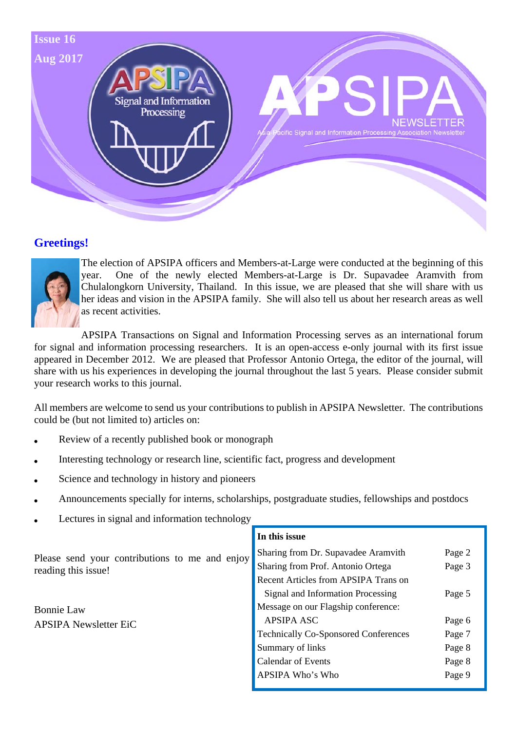

### **Greetings!**



The election of APSIPA officers and Members-at-Large were conducted at the beginning of this year. One of the newly elected Members-at-Large is Dr. Supavadee Aramvith from Chulalongkorn University, Thailand. In this issue, we are pleased that she will share with us her ideas and vision in the APSIPA family. She will also tell us about her research areas as well as recent activities.

APSIPA Transactions on Signal and Information Processing serves as an international forum for signal and information processing researchers. It is an open-access e-only journal with its first issue appeared in December 2012. We are pleased that Professor Antonio Ortega, the editor of the journal, will share with us his experiences in developing the journal throughout the last 5 years. Please consider submit your research works to this journal.

All members are welcome to send us your contributions to publish in APSIPA Newsletter. The contributions could be (but not limited to) articles on:

- Review of a recently published book or monograph
- Interesting technology or research line, scientific fact, progress and development
- Science and technology in history and pioneers
- Announcements specially for interns, scholarships, postgraduate studies, fellowships and postdocs
- Lectures in signal and information technology

|                                                                       | In this issue                               |        |
|-----------------------------------------------------------------------|---------------------------------------------|--------|
| Please send your contributions to me and enjoy<br>reading this issue! | Sharing from Dr. Supavadee Aramvith         | Page 2 |
|                                                                       | Sharing from Prof. Antonio Ortega           | Page 3 |
|                                                                       | Recent Articles from APSIPA Trans on        |        |
|                                                                       | Signal and Information Processing           | Page 5 |
| <b>Bonnie Law</b>                                                     | Message on our Flagship conference:         |        |
| <b>APSIPA Newsletter EiC</b>                                          | <b>APSIPA ASC</b>                           | Page 6 |
|                                                                       | <b>Technically Co-Sponsored Conferences</b> | Page 7 |
|                                                                       | Summary of links                            | Page 8 |
|                                                                       | <b>Calendar of Events</b>                   | Page 8 |
|                                                                       | APSIPA Who's Who                            | Page 9 |
|                                                                       |                                             |        |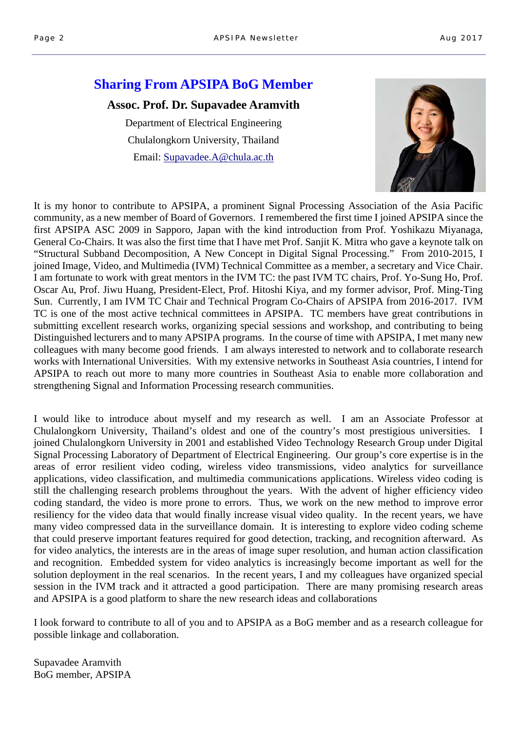### **Sharing From APSIPA BoG Member**

#### **Assoc. Prof. Dr. Supavadee Aramvith**

Department of Electrical Engineering Chulalongkorn University, Thailand Email: Supavadee.A@chula.ac.th



It is my honor to contribute to APSIPA, a prominent Signal Processing Association of the Asia Pacific community, as a new member of Board of Governors. I remembered the first time I joined APSIPA since the first APSIPA ASC 2009 in Sapporo, Japan with the kind introduction from Prof. Yoshikazu Miyanaga, General Co-Chairs. It was also the first time that I have met Prof. Sanjit K. Mitra who gave a keynote talk on "Structural Subband Decomposition, A New Concept in Digital Signal Processing." From 2010-2015, I joined Image, Video, and Multimedia (IVM) Technical Committee as a member, a secretary and Vice Chair. I am fortunate to work with great mentors in the IVM TC: the past IVM TC chairs, Prof. Yo-Sung Ho, Prof. Oscar Au, Prof. Jiwu Huang, President-Elect, Prof. Hitoshi Kiya, and my former advisor, Prof. Ming-Ting Sun. Currently, I am IVM TC Chair and Technical Program Co-Chairs of APSIPA from 2016-2017. IVM TC is one of the most active technical committees in APSIPA. TC members have great contributions in submitting excellent research works, organizing special sessions and workshop, and contributing to being Distinguished lecturers and to many APSIPA programs. In the course of time with APSIPA, I met many new colleagues with many become good friends. I am always interested to network and to collaborate research works with International Universities. With my extensive networks in Southeast Asia countries, I intend for APSIPA to reach out more to many more countries in Southeast Asia to enable more collaboration and strengthening Signal and Information Processing research communities.

I would like to introduce about myself and my research as well. I am an Associate Professor at Chulalongkorn University, Thailand's oldest and one of the country's most prestigious universities. I joined Chulalongkorn University in 2001 and established Video Technology Research Group under Digital Signal Processing Laboratory of Department of Electrical Engineering. Our group's core expertise is in the areas of error resilient video coding, wireless video transmissions, video analytics for surveillance applications, video classification, and multimedia communications applications. Wireless video coding is still the challenging research problems throughout the years. With the advent of higher efficiency video coding standard, the video is more prone to errors. Thus, we work on the new method to improve error resiliency for the video data that would finally increase visual video quality. In the recent years, we have many video compressed data in the surveillance domain. It is interesting to explore video coding scheme that could preserve important features required for good detection, tracking, and recognition afterward. As for video analytics, the interests are in the areas of image super resolution, and human action classification and recognition. Embedded system for video analytics is increasingly become important as well for the solution deployment in the real scenarios. In the recent years, I and my colleagues have organized special session in the IVM track and it attracted a good participation. There are many promising research areas and APSIPA is a good platform to share the new research ideas and collaborations

I look forward to contribute to all of you and to APSIPA as a BoG member and as a research colleague for possible linkage and collaboration.

Supavadee Aramvith BoG member, APSIPA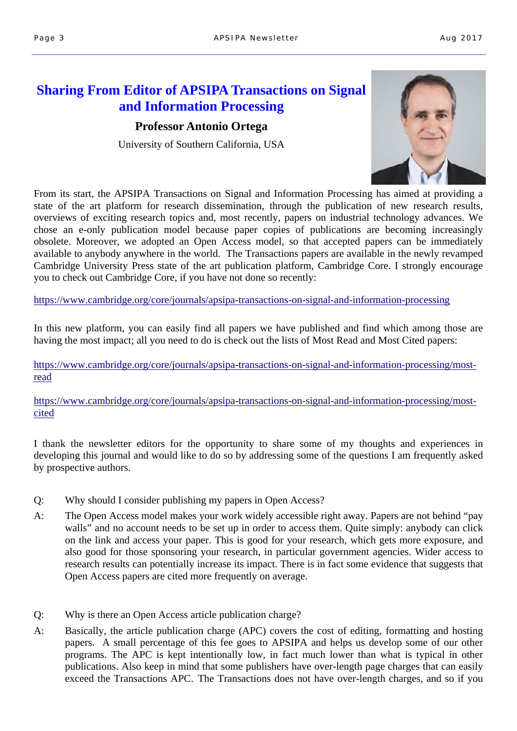### **Sharing From Editor of APSIPA Transactions on Signal and Information Processing**

#### **Professor Antonio Ortega**

University of Southern California, USA



From its start, the APSIPA Transactions on Signal and Information Processing has aimed at providing a state of the art platform for research dissemination, through the publication of new research results, overviews of exciting research topics and, most recently, papers on industrial technology advances. We chose an e-only publication model because paper copies of publications are becoming increasingly obsolete. Moreover, we adopted an Open Access model, so that accepted papers can be immediately available to anybody anywhere in the world. The Transactions papers are available in the newly revamped Cambridge University Press state of the art publication platform, Cambridge Core. I strongly encourage you to check out Cambridge Core, if you have not done so recently:

https://www.cambridge.org/core/journals/apsipa-transactions-on-signal-and-information-processing

In this new platform, you can easily find all papers we have published and find which among those are having the most impact; all you need to do is check out the lists of Most Read and Most Cited papers:

https://www.cambridge.org/core/journals/apsipa-transactions-on-signal-and-information-processing/mostread

https://www.cambridge.org/core/journals/apsipa-transactions-on-signal-and-information-processing/mostcited

I thank the newsletter editors for the opportunity to share some of my thoughts and experiences in developing this journal and would like to do so by addressing some of the questions I am frequently asked by prospective authors.

- Q: Why should I consider publishing my papers in Open Access?
- A: The Open Access model makes your work widely accessible right away. Papers are not behind "pay walls" and no account needs to be set up in order to access them. Ouite simply: anybody can click on the link and access your paper. This is good for your research, which gets more exposure, and also good for those sponsoring your research, in particular government agencies. Wider access to research results can potentially increase its impact. There is in fact some evidence that suggests that Open Access papers are cited more frequently on average.
- Q: Why is there an Open Access article publication charge?
- A: Basically, the article publication charge (APC) covers the cost of editing, formatting and hosting papers. A small percentage of this fee goes to APSIPA and helps us develop some of our other programs. The APC is kept intentionally low, in fact much lower than what is typical in other publications. Also keep in mind that some publishers have over-length page charges that can easily exceed the Transactions APC. The Transactions does not have over-length charges, and so if you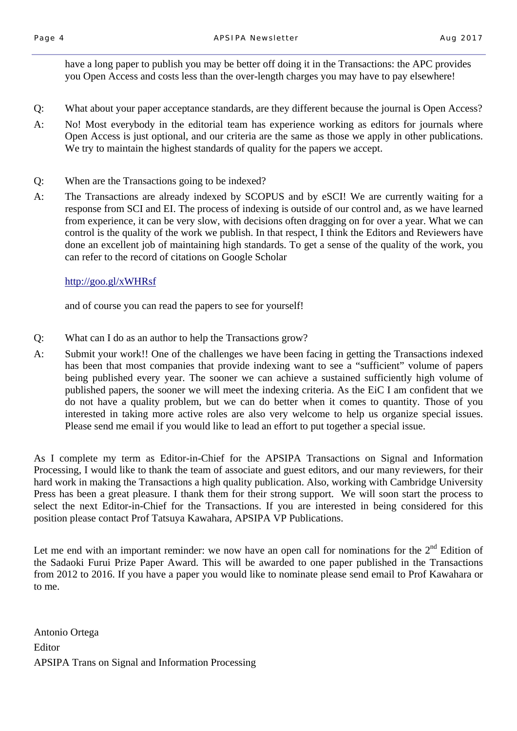have a long paper to publish you may be better off doing it in the Transactions: the APC provides you Open Access and costs less than the over-length charges you may have to pay elsewhere!

- Q: What about your paper acceptance standards, are they different because the journal is Open Access?
- A: No! Most everybody in the editorial team has experience working as editors for journals where Open Access is just optional, and our criteria are the same as those we apply in other publications. We try to maintain the highest standards of quality for the papers we accept.
- Q: When are the Transactions going to be indexed?
- A: The Transactions are already indexed by SCOPUS and by eSCI! We are currently waiting for a response from SCI and EI. The process of indexing is outside of our control and, as we have learned from experience, it can be very slow, with decisions often dragging on for over a year. What we can control is the quality of the work we publish. In that respect, I think the Editors and Reviewers have done an excellent job of maintaining high standards. To get a sense of the quality of the work, you can refer to the record of citations on Google Scholar

#### http://goo.gl/xWHRsf

and of course you can read the papers to see for yourself!

- Q: What can I do as an author to help the Transactions grow?
- A: Submit your work!! One of the challenges we have been facing in getting the Transactions indexed has been that most companies that provide indexing want to see a "sufficient" volume of papers being published every year. The sooner we can achieve a sustained sufficiently high volume of published papers, the sooner we will meet the indexing criteria. As the EiC I am confident that we do not have a quality problem, but we can do better when it comes to quantity. Those of you interested in taking more active roles are also very welcome to help us organize special issues. Please send me email if you would like to lead an effort to put together a special issue.

As I complete my term as Editor-in-Chief for the APSIPA Transactions on Signal and Information Processing, I would like to thank the team of associate and guest editors, and our many reviewers, for their hard work in making the Transactions a high quality publication. Also, working with Cambridge University Press has been a great pleasure. I thank them for their strong support. We will soon start the process to select the next Editor-in-Chief for the Transactions. If you are interested in being considered for this position please contact Prof Tatsuya Kawahara, APSIPA VP Publications.

Let me end with an important reminder: we now have an open call for nominations for the  $2<sup>nd</sup>$  Edition of the Sadaoki Furui Prize Paper Award. This will be awarded to one paper published in the Transactions from 2012 to 2016. If you have a paper you would like to nominate please send email to Prof Kawahara or to me.

Antonio Ortega Editor APSIPA Trans on Signal and Information Processing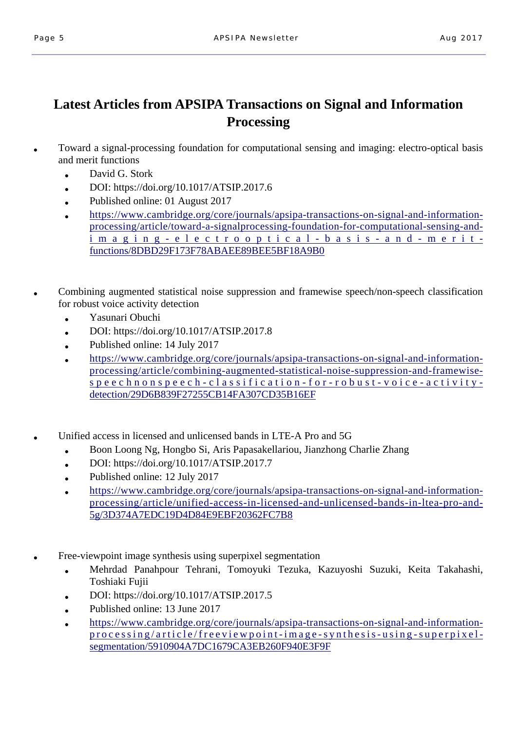# **Latest Articles from APSIPA Transactions on Signal and Information Processing**

- Toward a signal-processing foundation for computational sensing and imaging: electro-optical basis and merit functions
	- David G. Stork
	- $\bullet$  DOI: https://doi.org/10.1017/ATSIP.2017.6
	- Published online: 01 August 2017
	- https://www.cambridge.org/core/journals/apsipa-transactions-on-signal-and-informationprocessing/article/toward-a-signalprocessing-foundation-for-computational-sensing-andimaging-electroopti cal-basis-and-meritfunctions/8DBD29F173F78ABAEE89BEE5BF18A9B0
- Combining augmented statistical noise suppression and framewise speech/non-speech classification for robust voice activity detection
	- Yasunari Obuchi
	- $\bullet$  DOI: https://doi.org/10.1017/ATSIP.2017.8
	- Published online:  $14$  July 2017
	- https://www.cambridge.org/core/journals/apsipa-transactions-on-signal-and-informationprocessing/article/combining-augmented-statistical-noise-suppression-and-framewisespeechnonspeech-classification-for-robust-voice-activitydetection/29D6B839F27255CB14FA307CD35B16EF
	- Unified access in licensed and unlicensed bands in LTE-A Pro and 5G
		- Boon Loong Ng, Hongbo Si, Aris Papasakellariou, Jianzhong Charlie Zhang
		- $\bullet$  DOI: https://doi.org/10.1017/ATSIP.2017.7
		- Published online:  $12$  July  $2017$
		- https://www.cambridge.org/core/journals/apsipa-transactions-on-signal-and-informationprocessing/article/unified-access-in-licensed-and-unlicensed-bands-in-ltea-pro-and-5g/3D374A7EDC19D4D84E9EBF20362FC7B8
- Free-viewpoint image synthesis using superpixel segmentation
	- Mehrdad Panahpour Tehrani, Tomoyuki Tezuka, Kazuyoshi Suzuki, Keita Takahashi, Toshiaki Fujii
	- DOI: https://doi.org/10.1017/ATSIP.2017.5
	- Published online: 13 June 2017
	- https://www.cambridge.org/core/journals/apsipa-transactions-on-signal-and-informationprocessing/article/freeviewpoint-image-synthesis-using-superpixelsegmentation/5910904A7DC1679CA3EB260F940E3F9F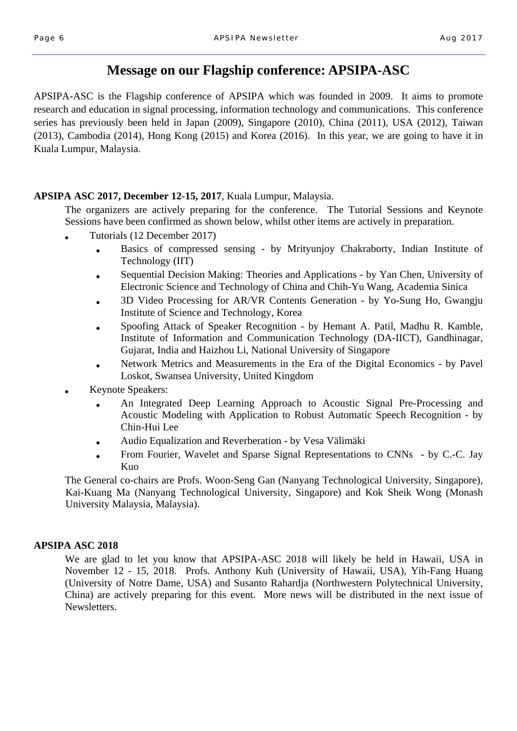### **Message on our Flagship conference: APSIPA-ASC**

APSIPA-ASC is the Flagship conference of APSIPA which was founded in 2009. It aims to promote research and education in signal processing, information technology and communications. This conference series has previously been held in Japan (2009), Singapore (2010), China (2011), USA (2012), Taiwan (2013), Cambodia (2014), Hong Kong (2015) and Korea (2016). In this year, we are going to have it in Kuala Lumpur, Malaysia.

### **APSIPA ASC 2017, December 12-15, 2017**, Kuala Lumpur, Malaysia.

 The organizers are actively preparing for the conference. The Tutorial Sessions and Keynote Sessions have been confirmed as shown below, whilst other items are actively in preparation.

- Tutorials (12 December 2017)
	- Basics of compressed sensing by Mrityunjoy Chakraborty, Indian Institute of Technology (IIT)
	- Sequential Decision Making: Theories and Applications by Yan Chen, University of Electronic Science and Technology of China and Chih-Yu Wang, Academia Sinica
	- 3D Video Processing for AR/VR Contents Generation by Yo-Sung Ho, Gwangju Institute of Science and Technology, Korea
	- Spoofing Attack of Speaker Recognition by Hemant A. Patil, Madhu R. Kamble, Institute of Information and Communication Technology (DA-IICT), Gandhinagar, Gujarat, India and Haizhou Li, National University of Singapore
	- Network Metrics and Measurements in the Era of the Digital Economics by Pavel Loskot, Swansea University, United Kingdom
- Keynote Speakers:
	- An Integrated Deep Learning Approach to Acoustic Signal Pre-Processing and Acoustic Modeling with Application to Robust Automatic Speech Recognition - by Chin-Hui Lee
	- Audio Equalization and Reverberation by Vesa Välimäki
	- From Fourier, Wavelet and Sparse Signal Representations to CNNs by C.-C. Jay Kuo

The General co-chairs are Profs. Woon-Seng Gan (Nanyang Technological University, Singapore), Kai-Kuang Ma (Nanyang Technological University, Singapore) and Kok Sheik Wong (Monash University Malaysia, Malaysia).

#### **APSIPA ASC 2018**

We are glad to let you know that APSIPA-ASC 2018 will likely be held in Hawaii, USA in November 12 - 15, 2018. Profs. Anthony Kuh (University of Hawaii, USA), Yih-Fang Huang (University of Notre Dame, USA) and Susanto Rahardja (Northwestern Polytechnical University, China) are actively preparing for this event. More news will be distributed in the next issue of Newsletters.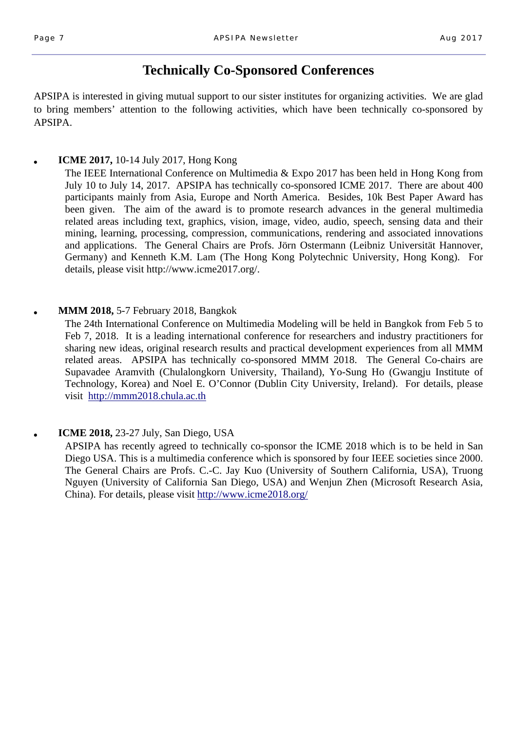# **Technically Co-Sponsored Conferences**

APSIPA is interested in giving mutual support to our sister institutes for organizing activities. We are glad to bring members' attention to the following activities, which have been technically co-sponsored by APSIPA.

### **ICME 2017,** 10-14 July 2017, Hong Kong

The IEEE International Conference on Multimedia & Expo 2017 has been held in Hong Kong from July 10 to July 14, 2017. APSIPA has technically co-sponsored ICME 2017. There are about 400 participants mainly from Asia, Europe and North America. Besides, 10k Best Paper Award has been given. The aim of the award is to promote research advances in the general multimedia related areas including text, graphics, vision, image, video, audio, speech, sensing data and their mining, learning, processing, compression, communications, rendering and associated innovations and applications. The General Chairs are Profs. Jörn Ostermann (Leibniz Universität Hannover, Germany) and Kenneth K.M. Lam (The Hong Kong Polytechnic University, Hong Kong). For details, please visit http://www.icme2017.org/.

#### **MMM 2018, 5-7 February 2018, Bangkok**

The 24th International Conference on Multimedia Modeling will be held in Bangkok from Feb 5 to Feb 7, 2018. It is a leading international conference for researchers and industry practitioners for sharing new ideas, original research results and practical development experiences from all MMM related areas. APSIPA has technically co-sponsored MMM 2018. The General Co-chairs are Supavadee Aramvith (Chulalongkorn University, Thailand), Yo-Sung Ho (Gwangju Institute of Technology, Korea) and Noel E. O'Connor (Dublin City University, Ireland). For details, please visit http://mmm2018.chula.ac.th

### ● **ICME 2018,** 23-27 July, San Diego, USA

APSIPA has recently agreed to technically co-sponsor the ICME 2018 which is to be held in San Diego USA. This is a multimedia conference which is sponsored by four IEEE societies since 2000. The General Chairs are Profs. C.-C. Jay Kuo (University of Southern California, USA), Truong Nguyen (University of California San Diego, USA) and Wenjun Zhen (Microsoft Research Asia, China). For details, please visit http://www.icme2018.org/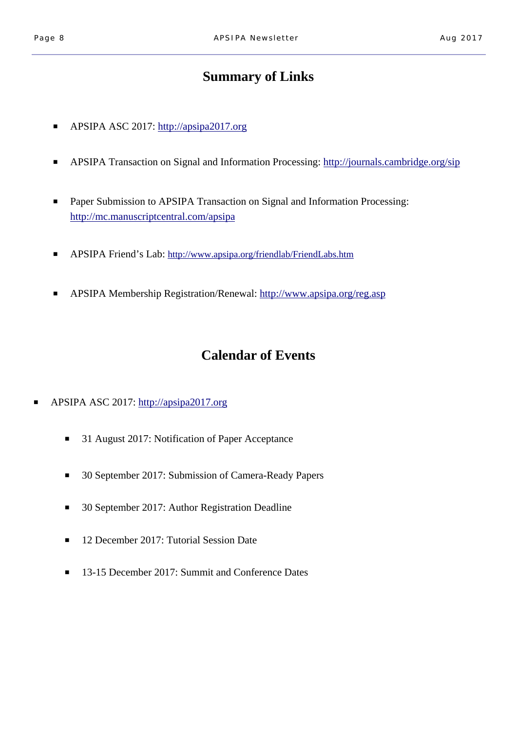# **Summary of Links**

- APSIPA ASC 2017: http://apsipa2017.org
- APSIPA Transaction on Signal and Information Processing: http://journals.cambridge.org/sip
- Paper Submission to APSIPA Transaction on Signal and Information Processing: http://mc.manuscriptcentral.com/apsipa
- APSIPA Friend's Lab: http://www.apsipa.org/friendlab/FriendLabs.htm
- APSIPA Membership Registration/Renewal: http://www.apsipa.org/reg.asp

### **Calendar of Events**

- APSIPA ASC 2017: http://apsipa2017.org
	- 31 August 2017: Notification of Paper Acceptance
	- 30 September 2017: Submission of Camera-Ready Papers
	- 30 September 2017: Author Registration Deadline
	- 12 December 2017: Tutorial Session Date
	- 13-15 December 2017: Summit and Conference Dates